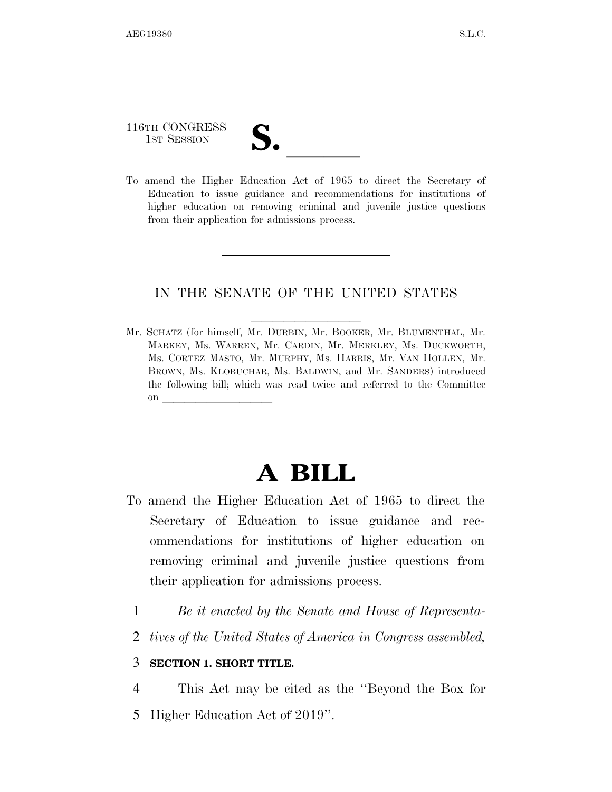# 116TH CONGRESS 116TH CONGRESS<br>
1ST SESSION<br>
To amend the Higher Education Act of 1965 to direct the Secretary of

Education to issue guidance and recommendations for institutions of higher education on removing criminal and juvenile justice questions from their application for admissions process.

### IN THE SENATE OF THE UNITED STATES

Mr. SCHATZ (for himself, Mr. DURBIN, Mr. BOOKER, Mr. BLUMENTHAL, Mr. MARKEY, Ms. WARREN, Mr. CARDIN, Mr. MERKLEY, Ms. DUCKWORTH, Ms. CORTEZ MASTO, Mr. MURPHY, Ms. HARRIS, Mr. VAN HOLLEN, Mr. BROWN, Ms. KLOBUCHAR, Ms. BALDWIN, and Mr. SANDERS) introduced the following bill; which was read twice and referred to the Committee on  $\overline{\qquad \qquad }$ 

## **A BILL**

- To amend the Higher Education Act of 1965 to direct the Secretary of Education to issue guidance and recommendations for institutions of higher education on removing criminal and juvenile justice questions from their application for admissions process.
	- 1 *Be it enacted by the Senate and House of Representa-*
	- 2 *tives of the United States of America in Congress assembled,*

#### 3 **SECTION 1. SHORT TITLE.**

4 This Act may be cited as the ''Beyond the Box for

5 Higher Education Act of 2019''.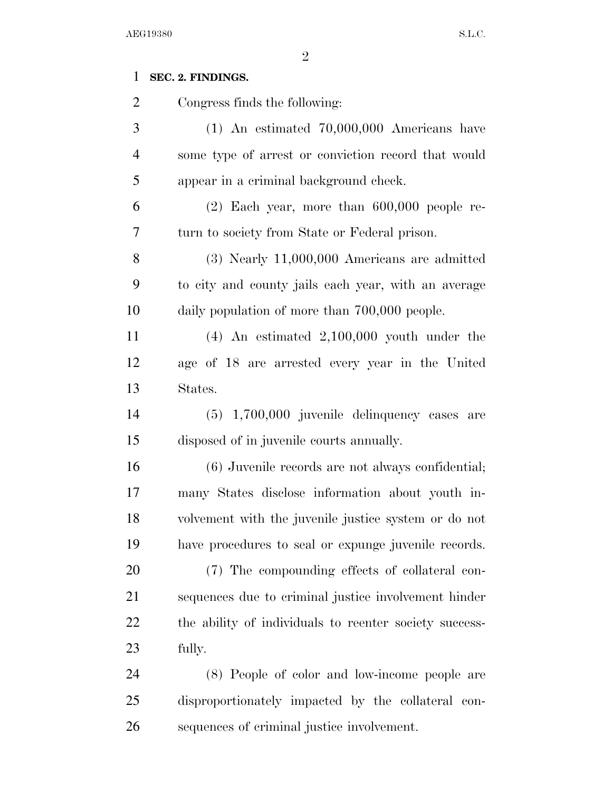### **SEC. 2. FINDINGS.**

 Congress finds the following: (1) An estimated 70,000,000 Americans have some type of arrest or conviction record that would appear in a criminal background check. (2) Each year, more than 600,000 people re- turn to society from State or Federal prison. (3) Nearly 11,000,000 Americans are admitted to city and county jails each year, with an average daily population of more than 700,000 people. (4) An estimated 2,100,000 youth under the age of 18 are arrested every year in the United States. (5) 1,700,000 juvenile delinquency cases are disposed of in juvenile courts annually. (6) Juvenile records are not always confidential; many States disclose information about youth in- volvement with the juvenile justice system or do not have procedures to seal or expunge juvenile records. (7) The compounding effects of collateral con- sequences due to criminal justice involvement hinder the ability of individuals to reenter society success- fully. (8) People of color and low-income people are

 disproportionately impacted by the collateral con-sequences of criminal justice involvement.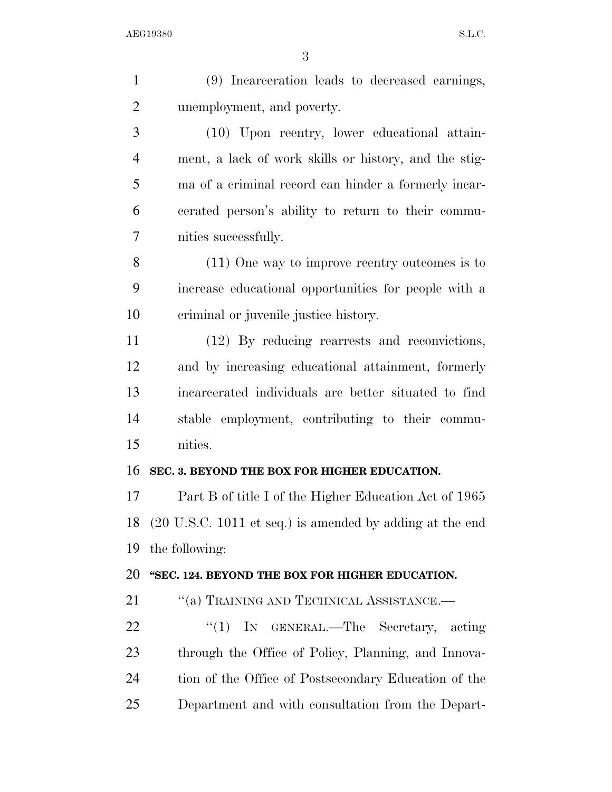| $\mathbf{1}$   | (9) Incarceration leads to decreased earnings,              |
|----------------|-------------------------------------------------------------|
| $\overline{2}$ | unemployment, and poverty.                                  |
| 3              | (10) Upon reentry, lower educational attain-                |
| $\overline{4}$ | ment, a lack of work skills or history, and the stig-       |
| 5              | ma of a criminal record can hinder a formerly incar-        |
| 6              | cerated person's ability to return to their commu-          |
| 7              | nities successfully.                                        |
| 8              | $(11)$ One way to improve reentry outcomes is to            |
| 9              | increase educational opportunities for people with a        |
| 10             | criminal or juvenile justice history.                       |
| 11             | (12) By reducing rearrests and reconvictions,               |
| 12             | and by increasing educational attainment, formerly          |
| 13             | incarcerated individuals are better situated to find        |
| 14             | stable employment, contributing to their commu-             |
| 15             | nities.                                                     |
| 16             | SEC. 3. BEYOND THE BOX FOR HIGHER EDUCATION.                |
| 17             | Part B of title I of the Higher Education Act of 1965       |
|                | 18 (20 U.S.C. 1011 et seq.) is amended by adding at the end |
| 19             | the following:                                              |
| 20             | "SEC. 124. BEYOND THE BOX FOR HIGHER EDUCATION.             |
| 21             | "(a) TRAINING AND TECHNICAL ASSISTANCE.                     |
| 22             | "(1) IN GENERAL.—The Secretary, acting                      |
| 23             | through the Office of Policy, Planning, and Innova-         |
| 24             | tion of the Office of Postsecondary Education of the        |
| 25             | Department and with consultation from the Depart-           |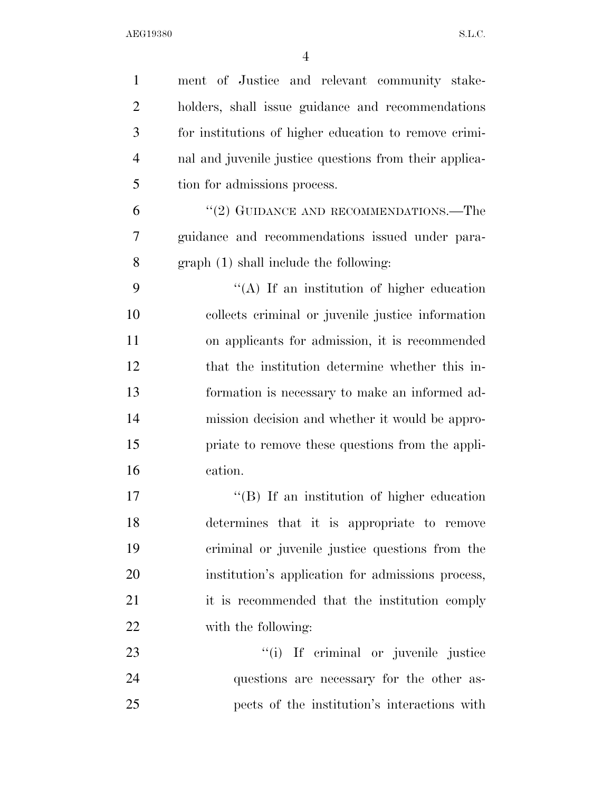| $\mathbf{1}$   | ment of Justice and relevant community stake-          |
|----------------|--------------------------------------------------------|
| $\overline{2}$ | holders, shall issue guidance and recommendations      |
| 3              | for institutions of higher education to remove crimi-  |
| $\overline{4}$ | nal and juvenile justice questions from their applica- |
| 5              | tion for admissions process.                           |
| 6              | "(2) GUIDANCE AND RECOMMENDATIONS.—The                 |
| 7              | guidance and recommendations issued under para-        |
| 8              | graph (1) shall include the following:                 |
| 9              | $\lq\lq$ . If an institution of higher education       |
| 10             | collects criminal or juvenile justice information      |
| 11             | on applicants for admission, it is recommended         |
| 12             | that the institution determine whether this in-        |
| 13             | formation is necessary to make an informed ad-         |
| 14             | mission decision and whether it would be appro-        |
| 15             | priate to remove these questions from the appli-       |
| 16             | cation.                                                |
| 17             | $\lq\lq (B)$ If an institution of higher education     |
| 18             | determines that it is appropriate to remove            |
| 19             | criminal or juvenile justice questions from the        |
| 20             | institution's application for admissions process,      |
| 21             | it is recommended that the institution comply          |
| 22             | with the following:                                    |
| 23             | "(i) If criminal or juvenile justice                   |
| 24             | questions are necessary for the other as-              |
| 25             | pects of the institution's interactions with           |
|                |                                                        |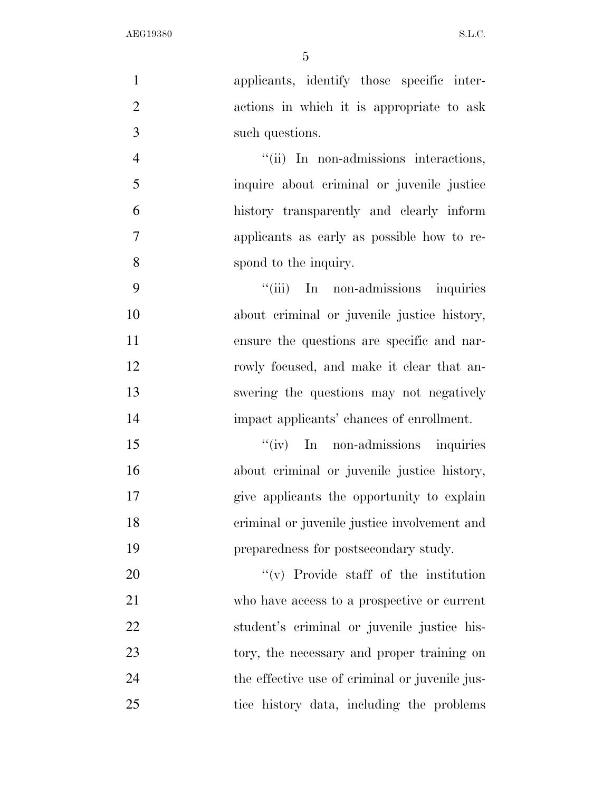| $\mathbf{1}$   | applicants, identify those specific inter-     |
|----------------|------------------------------------------------|
| $\overline{2}$ | actions in which it is appropriate to ask      |
| 3              | such questions.                                |
| $\overline{4}$ | "(ii) In non-admissions interactions,          |
| 5              | inquire about criminal or juvenile justice     |
| 6              | history transparently and clearly inform       |
| $\tau$         | applicants as early as possible how to re-     |
| 8              | spond to the inquiry.                          |
| 9              | "(iii) In non-admissions inquiries             |
| 10             | about criminal or juvenile justice history,    |
| 11             | ensure the questions are specific and nar-     |
| 12             | rowly focused, and make it clear that an-      |
| 13             | swering the questions may not negatively       |
| 14             | impact applicants' chances of enrollment.      |
| 15             | $\lq\lq (iv)$ In non-admissions inquiries      |
| 16             | about criminal or juvenile justice history,    |
| 17             | give applicants the opportunity to explain     |
| 18             | criminal or juvenile justice involvement and   |
| 19             | preparedness for postsecondary study.          |
| 20             | $f'(v)$ Provide staff of the institution       |
| 21             | who have access to a prospective or current    |
| 22             | student's criminal or juvenile justice his-    |
| 23             | tory, the necessary and proper training on     |
| 24             | the effective use of criminal or juvenile jus- |
| 25             | tice history data, including the problems      |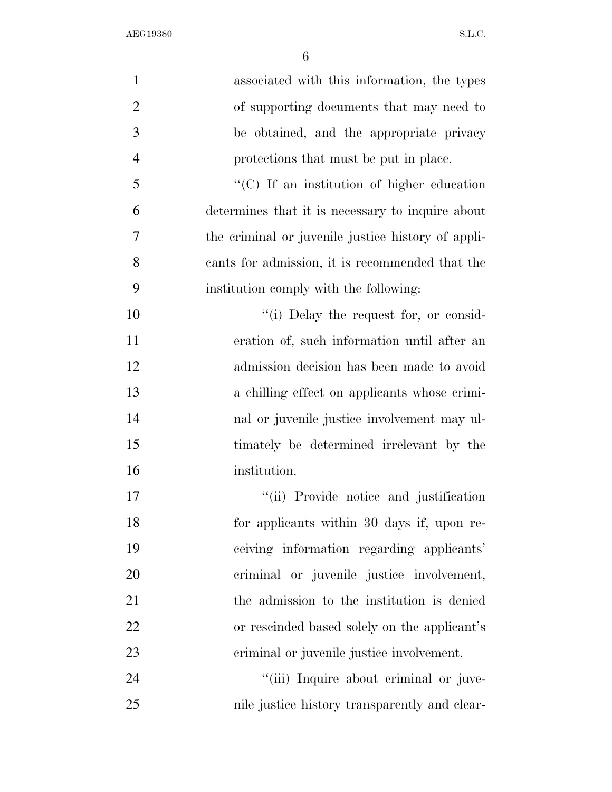| $\mathbf{1}$   | associated with this information, the types        |
|----------------|----------------------------------------------------|
| $\overline{2}$ | of supporting documents that may need to           |
| 3              | be obtained, and the appropriate privacy           |
| $\overline{4}$ | protections that must be put in place.             |
| 5              | "(C) If an institution of higher education         |
| 6              | determines that it is necessary to inquire about   |
| 7              | the criminal or juvenile justice history of appli- |
| 8              | cants for admission, it is recommended that the    |
| 9              | institution comply with the following:             |
| 10             | "(i) Delay the request for, or consid-             |
| 11             | eration of, such information until after an        |
| 12             | admission decision has been made to avoid          |
| 13             | a chilling effect on applicants whose crimi-       |
| 14             | nal or juvenile justice involvement may ul-        |
| 15             | timately be determined irrelevant by the           |
| 16             | institution.                                       |
| 17             | "(ii) Provide notice and justification             |
| 18             | for applicants within 30 days if, upon re-         |
| 19             | ceiving information regarding applicants'          |
| 20             | criminal or juvenile justice involvement,          |
| 21             | the admission to the institution is denied         |
| 22             | or rescinded based solely on the applicant's       |
| 23             | criminal or juvenile justice involvement.          |
| 24             | "(iii) Inquire about criminal or juve-             |
| 25             | nile justice history transparently and clear-      |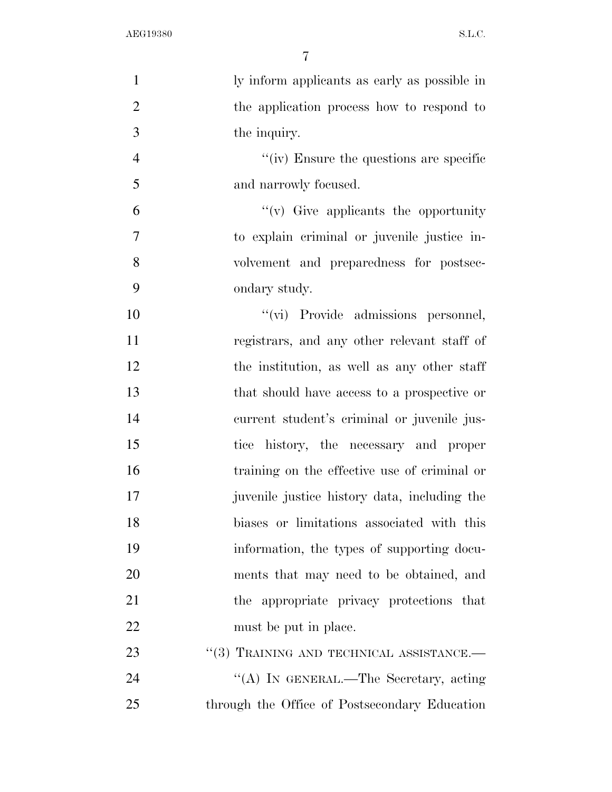| $\mathbf{1}$   | ly inform applicants as early as possible in  |
|----------------|-----------------------------------------------|
| $\overline{2}$ | the application process how to respond to     |
| 3              | the inquiry.                                  |
| $\overline{4}$ | "(iv) Ensure the questions are specific       |
| 5              | and narrowly focused.                         |
| 6              | $f'(v)$ Give applicants the opportunity       |
| $\overline{7}$ | to explain criminal or juvenile justice in-   |
| 8              | volvement and preparedness for postsec-       |
| 9              | ondary study.                                 |
| 10             | "(vi) Provide admissions personnel,           |
| 11             | registrars, and any other relevant staff of   |
| 12             | the institution, as well as any other staff   |
| 13             | that should have access to a prospective or   |
| 14             | current student's criminal or juvenile jus-   |
| 15             | tice history, the necessary and proper        |
| 16             | training on the effective use of criminal or  |
| 17             | juvenile justice history data, including the  |
| 18             | biases or limitations associated with this    |
| 19             | information, the types of supporting docu-    |
| 20             | ments that may need to be obtained, and       |
| 21             | the appropriate privacy protections that      |
| 22             | must be put in place.                         |
| 23             | "(3) TRAINING AND TECHNICAL ASSISTANCE.—      |
| 24             | "(A) IN GENERAL.—The Secretary, acting        |
| 25             | through the Office of Postsecondary Education |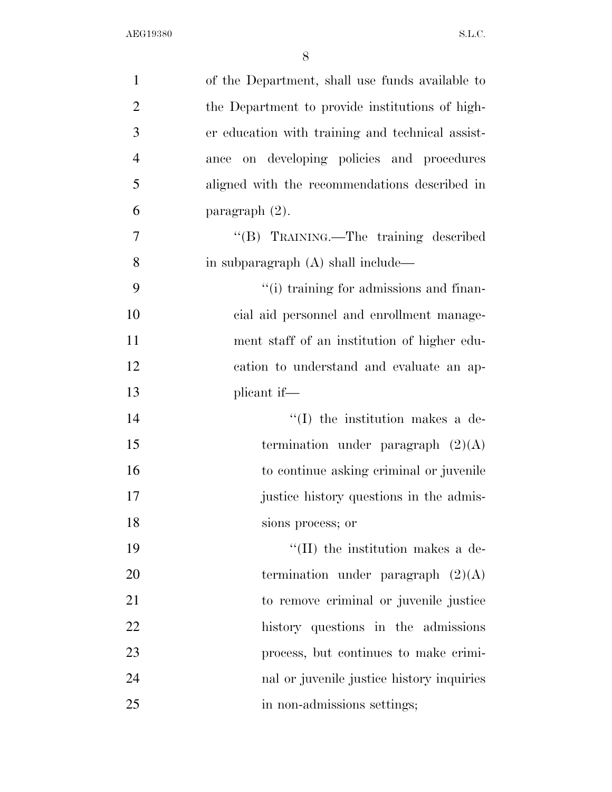| $\mathbf{1}$   | of the Department, shall use funds available to  |
|----------------|--------------------------------------------------|
| $\overline{2}$ | the Department to provide institutions of high-  |
| 3              | er education with training and technical assist- |
| $\overline{4}$ | ance on developing policies and procedures       |
| 5              | aligned with the recommendations described in    |
| 6              | paragraph (2).                                   |
| 7              | "(B) TRAINING.—The training described            |
| 8              | in subparagraph $(A)$ shall include—             |
| 9              | "(i) training for admissions and finan-          |
| 10             | cial aid personnel and enrollment manage-        |
| 11             | ment staff of an institution of higher edu-      |
| 12             | cation to understand and evaluate an ap-         |
| 13             | plicant if—                                      |
| 14             | $\lq\lq$ (I) the institution makes a de-         |
| 15             | termination under paragraph $(2)(A)$             |
| 16             | to continue asking criminal or juvenile          |
| 17             | justice history questions in the admis-          |
| 18             | sions process; or                                |
| 19             | $\lq\lq$ (II) the institution makes a de-        |
| 20             | termination under paragraph $(2)(A)$             |
| 21             | to remove criminal or juvenile justice           |
| 22             | history questions in the admissions              |
| 23             | process, but continues to make crimi-            |
| 24             | nal or juvenile justice history inquiries        |
| 25             | in non-admissions settings;                      |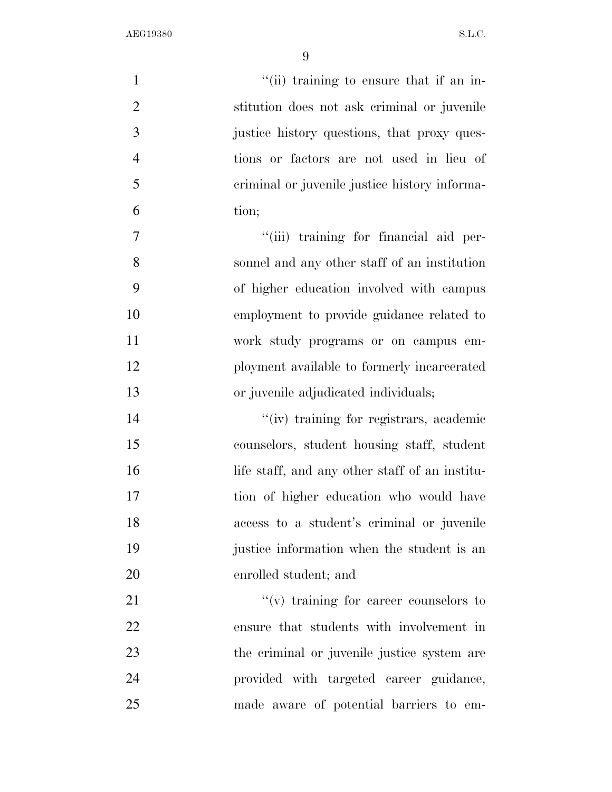| $\mathbf{1}$   | "(ii) training to ensure that if an in-        |
|----------------|------------------------------------------------|
| $\overline{2}$ | stitution does not ask criminal or juvenile    |
| 3              | justice history questions, that proxy ques-    |
| $\overline{4}$ | tions or factors are not used in lieu of       |
| 5              | criminal or juvenile justice history informa-  |
| 6              | tion;                                          |
| 7              | "(iii) training for financial aid per-         |
| 8              | sonnel and any other staff of an institution   |
| 9              | of higher education involved with campus       |
| 10             | employment to provide guidance related to      |
| 11             | work study programs or on campus em-           |
| 12             | ployment available to formerly incarcerated    |
| 13             | or juvenile adjudicated individuals;           |
| 14             | "(iv) training for registrars, academic        |
| 15             | counselors, student housing staff, student     |
| 16             | life staff, and any other staff of an institu- |
| 17             | tion of higher education who would have        |
| 18             | access to a student's criminal or juvenile     |
| 19             | justice information when the student is an     |
| 20             | enrolled student; and                          |
| 21             | $f'(v)$ training for career counselors to      |
| 22             | ensure that students with involvement in       |
| 23             | the criminal or juvenile justice system are    |
| 24             | provided with targeted career guidance,        |
| 25             | made aware of potential barriers to em-        |